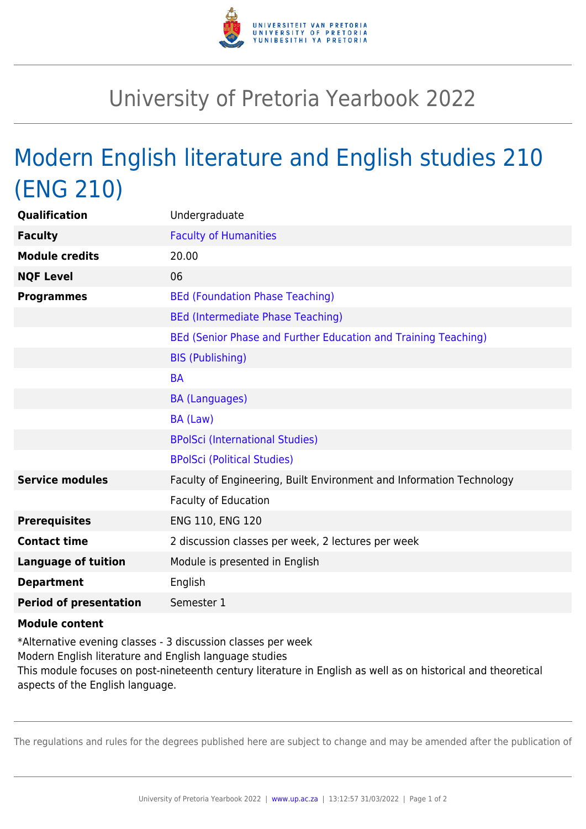

## University of Pretoria Yearbook 2022

## Modern English literature and English studies 210 (ENG 210)

| <b>Qualification</b>          | Undergraduate                                                        |
|-------------------------------|----------------------------------------------------------------------|
| <b>Faculty</b>                | <b>Faculty of Humanities</b>                                         |
| <b>Module credits</b>         | 20.00                                                                |
| <b>NQF Level</b>              | 06                                                                   |
| <b>Programmes</b>             | <b>BEd (Foundation Phase Teaching)</b>                               |
|                               | <b>BEd (Intermediate Phase Teaching)</b>                             |
|                               | BEd (Senior Phase and Further Education and Training Teaching)       |
|                               | <b>BIS (Publishing)</b>                                              |
|                               | <b>BA</b>                                                            |
|                               | <b>BA (Languages)</b>                                                |
|                               | BA (Law)                                                             |
|                               | <b>BPolSci (International Studies)</b>                               |
|                               | <b>BPolSci (Political Studies)</b>                                   |
| <b>Service modules</b>        | Faculty of Engineering, Built Environment and Information Technology |
|                               | <b>Faculty of Education</b>                                          |
| <b>Prerequisites</b>          | ENG 110, ENG 120                                                     |
| <b>Contact time</b>           | 2 discussion classes per week, 2 lectures per week                   |
| <b>Language of tuition</b>    | Module is presented in English                                       |
| <b>Department</b>             | English                                                              |
| <b>Period of presentation</b> | Semester 1                                                           |
| <b>Module content</b>         |                                                                      |

## \*Alternative evening classes - 3 discussion classes per week Modern English literature and English language studies This module focuses on post-nineteenth century literature in English as well as on historical and theoretical aspects of the English language.

The regulations and rules for the degrees published here are subject to change and may be amended after the publication of